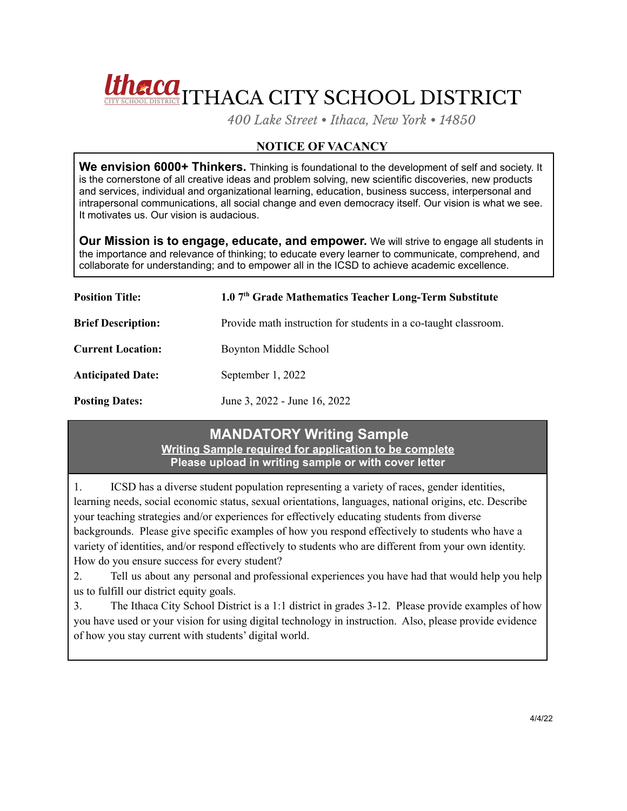# Unclear Thaca City School District

*400 Lake Street • Ithaca, New York • 14850*

## **NOTICE OF VACANCY**

**We envision 6000+ Thinkers.** Thinking is foundational to the development of self and society. It is the cornerstone of all creative ideas and problem solving, new scientific discoveries, new products and services, individual and organizational learning, education, business success, interpersonal and intrapersonal communications, all social change and even democracy itself. Our vision is what we see. It motivates us. Our vision is audacious.

**Our Mission is to engage, educate, and empower.** We will strive to engage all students in the importance and relevance of thinking; to educate every learner to communicate, comprehend, and collaborate for understanding; and to empower all in the ICSD to achieve academic excellence.

| <b>Position Title:</b>    | 1.0 7th Grade Mathematics Teacher Long-Term Substitute          |
|---------------------------|-----------------------------------------------------------------|
| <b>Brief Description:</b> | Provide math instruction for students in a co-taught classroom. |
| <b>Current Location:</b>  | Boynton Middle School                                           |
| <b>Anticipated Date:</b>  | September 1, 2022                                               |
| <b>Posting Dates:</b>     | June 3, 2022 - June 16, 2022                                    |

## **MANDATORY Writing Sample Writing Sample required for application to be complete Please upload in writing sample or with cover letter**

1. ICSD has a diverse student population representing a variety of races, gender identities, learning needs, social economic status, sexual orientations, languages, national origins, etc. Describe your teaching strategies and/or experiences for effectively educating students from diverse backgrounds. Please give specific examples of how you respond effectively to students who have a variety of identities, and/or respond effectively to students who are different from your own identity. How do you ensure success for every student?

2. Tell us about any personal and professional experiences you have had that would help you help us to fulfill our district equity goals.

3. The Ithaca City School District is a 1:1 district in grades 3-12. Please provide examples of how you have used or your vision for using digital technology in instruction. Also, please provide evidence of how you stay current with students' digital world.